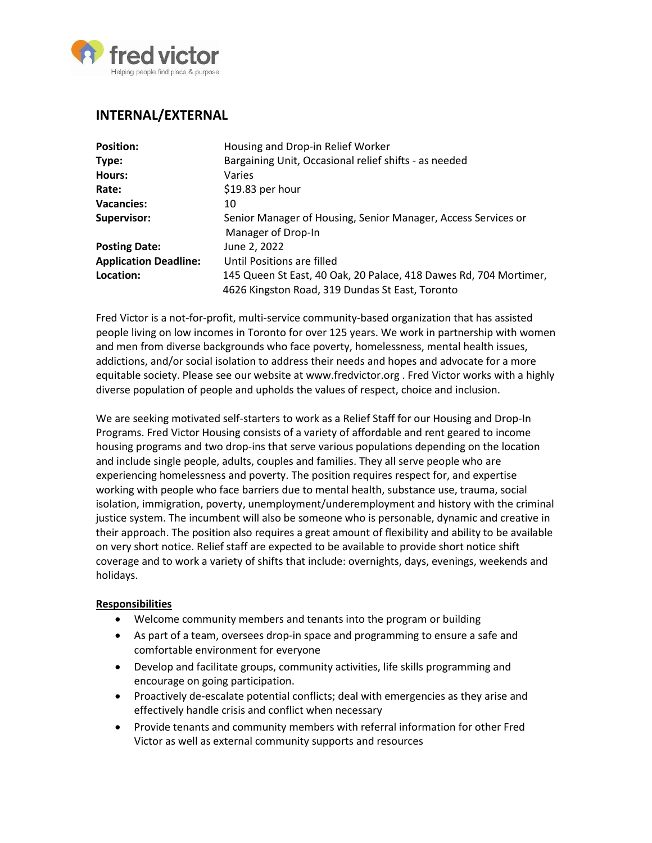

# **INTERNAL/EXTERNAL**

| <b>Position:</b>             | Housing and Drop-in Relief Worker                                 |
|------------------------------|-------------------------------------------------------------------|
| Type:                        | Bargaining Unit, Occasional relief shifts - as needed             |
| Hours:                       | Varies                                                            |
| Rate:                        | \$19.83 per hour                                                  |
| <b>Vacancies:</b>            | 10                                                                |
| Supervisor:                  | Senior Manager of Housing, Senior Manager, Access Services or     |
|                              | Manager of Drop-In                                                |
| <b>Posting Date:</b>         | June 2, 2022                                                      |
| <b>Application Deadline:</b> | Until Positions are filled                                        |
| Location:                    | 145 Queen St East, 40 Oak, 20 Palace, 418 Dawes Rd, 704 Mortimer, |
|                              | 4626 Kingston Road, 319 Dundas St East, Toronto                   |

Fred Victor is a not-for-profit, multi-service community-based organization that has assisted people living on low incomes in Toronto for over 125 years. We work in partnership with women and men from diverse backgrounds who face poverty, homelessness, mental health issues, addictions, and/or social isolation to address their needs and hopes and advocate for a more equitable society. Please see our website at www.fredvictor.org . Fred Victor works with a highly diverse population of people and upholds the values of respect, choice and inclusion.

We are seeking motivated self-starters to work as a Relief Staff for our Housing and Drop-In Programs. Fred Victor Housing consists of a variety of affordable and rent geared to income housing programs and two drop-ins that serve various populations depending on the location and include single people, adults, couples and families. They all serve people who are experiencing homelessness and poverty. The position requires respect for, and expertise working with people who face barriers due to mental health, substance use, trauma, social isolation, immigration, poverty, unemployment/underemployment and history with the criminal justice system. The incumbent will also be someone who is personable, dynamic and creative in their approach. The position also requires a great amount of flexibility and ability to be available on very short notice. Relief staff are expected to be available to provide short notice shift coverage and to work a variety of shifts that include: overnights, days, evenings, weekends and holidays.

#### **Responsibilities**

- Welcome community members and tenants into the program or building
- As part of a team, oversees drop-in space and programming to ensure a safe and comfortable environment for everyone
- Develop and facilitate groups, community activities, life skills programming and encourage on going participation.
- Proactively de-escalate potential conflicts; deal with emergencies as they arise and effectively handle crisis and conflict when necessary
- Provide tenants and community members with referral information for other Fred Victor as well as external community supports and resources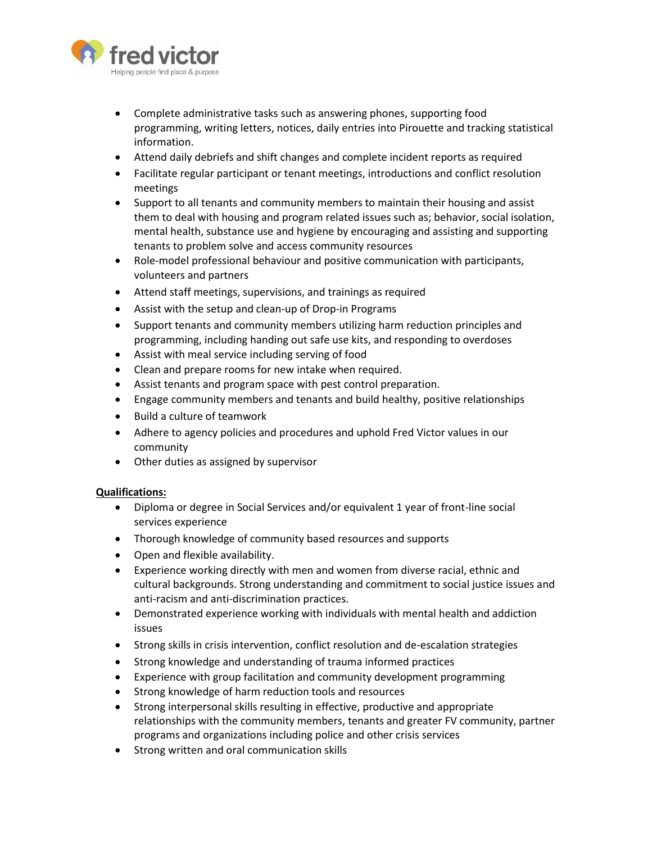

- Complete administrative tasks such as answering phones, supporting food programming, writing letters, notices, daily entries into Pirouette and tracking statistical information.
- Attend daily debriefs and shift changes and complete incident reports as required
- Facilitate regular participant or tenant meetings, introductions and conflict resolution meetings
- Support to all tenants and community members to maintain their housing and assist them to deal with housing and program related issues such as; behavior, social isolation, mental health, substance use and hygiene by encouraging and assisting and supporting tenants to problem solve and access community resources
- Role-model professional behaviour and positive communication with participants, volunteers and partners
- Attend staff meetings, supervisions, and trainings as required
- Assist with the setup and clean-up of Drop-in Programs
- Support tenants and community members utilizing harm reduction principles and programming, including handing out safe use kits, and responding to overdoses
- Assist with meal service including serving of food
- Clean and prepare rooms for new intake when required.
- Assist tenants and program space with pest control preparation.
- Engage community members and tenants and build healthy, positive relationships
- Build a culture of teamwork
- Adhere to agency policies and procedures and uphold Fred Victor values in our community
- Other duties as assigned by supervisor

#### **Qualifications:**

- Diploma or degree in Social Services and/or equivalent 1 year of front-line social services experience
- Thorough knowledge of community based resources and supports
- Open and flexible availability.
- Experience working directly with men and women from diverse racial, ethnic and cultural backgrounds. Strong understanding and commitment to social justice issues and anti-racism and anti-discrimination practices.
- Demonstrated experience working with individuals with mental health and addiction issues
- Strong skills in crisis intervention, conflict resolution and de-escalation strategies
- Strong knowledge and understanding of trauma informed practices
- Experience with group facilitation and community development programming
- Strong knowledge of harm reduction tools and resources
- Strong interpersonal skills resulting in effective, productive and appropriate relationships with the community members, tenants and greater FV community, partner programs and organizations including police and other crisis services
- **•** Strong written and oral communication skills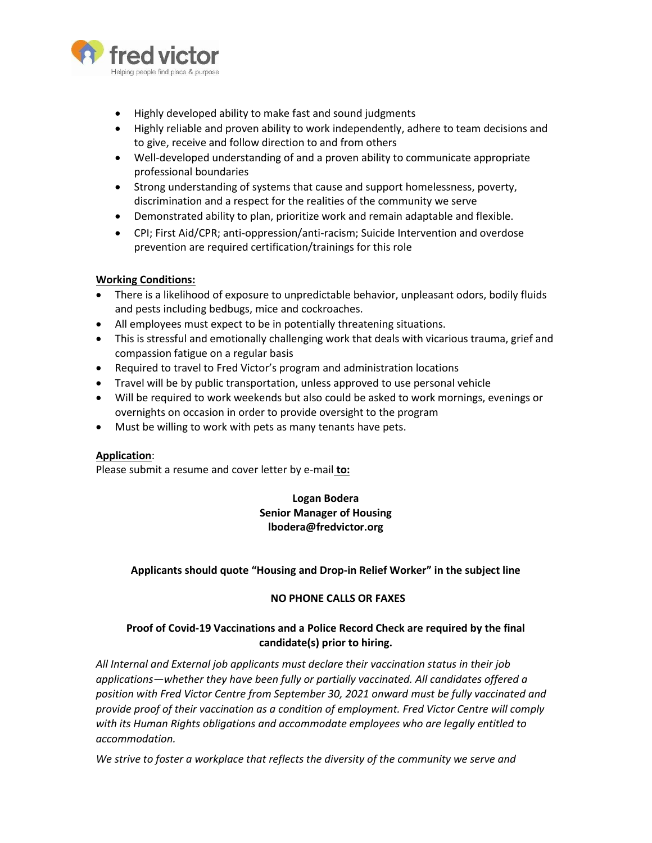

- Highly developed ability to make fast and sound judgments
- Highly reliable and proven ability to work independently, adhere to team decisions and to give, receive and follow direction to and from others
- Well-developed understanding of and a proven ability to communicate appropriate professional boundaries
- Strong understanding of systems that cause and support homelessness, poverty, discrimination and a respect for the realities of the community we serve
- Demonstrated ability to plan, prioritize work and remain adaptable and flexible.
- CPI; First Aid/CPR; anti-oppression/anti-racism; Suicide Intervention and overdose prevention are required certification/trainings for this role

### **Working Conditions:**

- There is a likelihood of exposure to unpredictable behavior, unpleasant odors, bodily fluids and pests including bedbugs, mice and cockroaches.
- All employees must expect to be in potentially threatening situations.
- This is stressful and emotionally challenging work that deals with vicarious trauma, grief and compassion fatigue on a regular basis
- Required to travel to Fred Victor's program and administration locations
- Travel will be by public transportation, unless approved to use personal vehicle
- Will be required to work weekends but also could be asked to work mornings, evenings or overnights on occasion in order to provide oversight to the program
- Must be willing to work with pets as many tenants have pets.

#### **Application**:

Please submit a resume and cover letter by e-mail **to:**

## **Logan Bodera Senior Manager of Housing lbodera@fredvictor.org**

## **Applicants should quote "Housing and Drop-in Relief Worker" in the subject line**

#### **NO PHONE CALLS OR FAXES**

## **Proof of Covid-19 Vaccinations and a Police Record Check are required by the final candidate(s) prior to hiring.**

*All Internal and External job applicants must declare their vaccination status in their job applications—whether they have been fully or partially vaccinated. All candidates offered a position with Fred Victor Centre from September 30, 2021 onward must be fully vaccinated and provide proof of their vaccination as a condition of employment. Fred Victor Centre will comply with its Human Rights obligations and accommodate employees who are legally entitled to accommodation.*

*We strive to foster a workplace that reflects the diversity of the community we serve and*